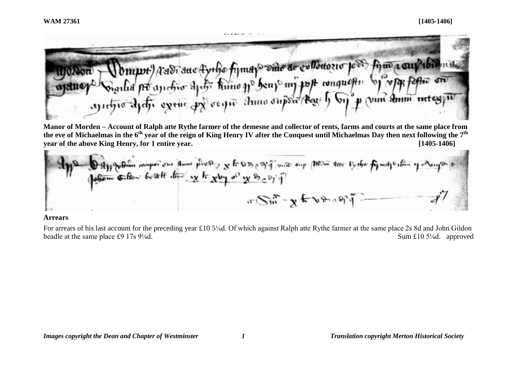d mpot ) A Adi Ano Ayelo fizmaz dine ar collottozio jede fizio a cui della Sould po anchio apeter huno go beny my post conquestion  $\mathcal{M}$   $\mathcal{M}$  as fel andro duty extre provide anno outsof these by point and motos

**Manor of Morden – Account of Ralph atte Rythe farmer of the demesne and collector of rents, farms and courts at the same place from the eve of Michaelmas in the 6th year of the reign of King Henry IV after the Conquest until Michaelmas Day then next following the 7th year of the above King Henry, for 1 entire year. [1405-1406]**



### **Arrears**

For arrears of his last account for the preceding year £10 5⅛d. Of which against Ralph atte Rythe farmer at the same place 2s 8d and John Gildon beadle at the same place £9 17s 9<sup>1</sup>/<sub>8</sub>d. approved Sum £10 5<sup>1</sup>/<sub>8</sub>d. approved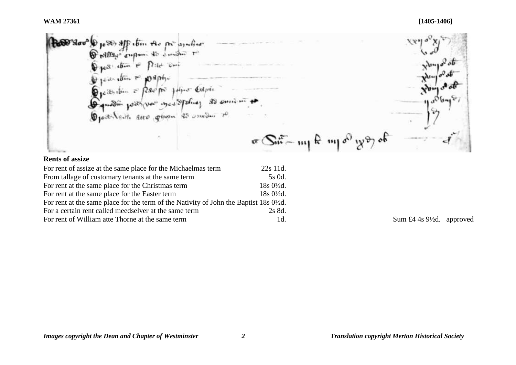De pessor app etim the procession of<br>
Tramage empoure as demotion to Describin - papier - Codpie Gquestin possi var you Spoling 20 somi un Opert Sent are given 43 union to  $\pi$  Sit - mp fe mp of you of **Rents of assize** For rent of assize at the same place for the Michaelmas term 22s 11d. From tallage of customary tenants at the same term 5s 0d.

For rent of William atte Thorne at the same term 1d. Sum £4 4s 9<sup>1</sup>/<sub>2d.</sub> approved

For rent at the same place for the Christmas term 18s 0½d. For rent at the same place for the Easter term 18s 0<sup>1</sup>/<sub>2d</sub>. For rent at the same place for the term of the Nativity of John the Baptist 18s 0½d. For a certain rent called meedselver at the same term 2s 8d.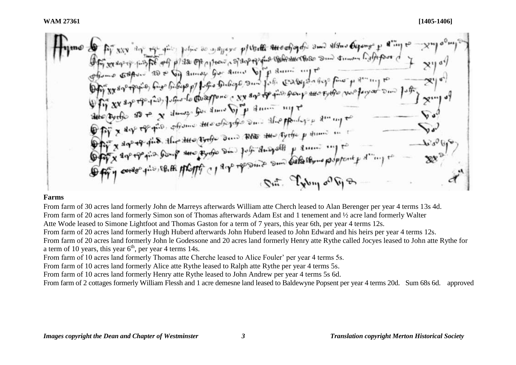**OF A server the property of the company of the Conference of the Conference of the Context of the Conference of the Conference of the Conference of the Conference of the Conference of the Conference of the Conference of** Offy x are repairs from the property on four angular such callections property Sut. Tyby of Gp

## **Farms**

From farm of 30 acres land formerly John de Marreys afterwards William atte Cherch leased to Alan Berenger per year 4 terms 13s 4d. From farm of 20 acres land formerly Simon son of Thomas afterwards Adam Est and 1 tenement and ½ acre land formerly Walter Atte Wode leased to Simone Lightfoot and Thomas Gaston for a term of 7 years, this year 6th, per year 4 terms 12s. From farm of 20 acres land formerly Hugh Huberd afterwards John Huberd leased to John Edward and his heirs per year 4 terms 12s. From farm of 20 acres land formerly John le Godessone and 20 acres land formerly Henry atte Rythe called Jocyes leased to John atte Rythe for a term of 10 years, this year  $6<sup>th</sup>$ , per year 4 terms 14s.

From farm of 10 acres land formerly Thomas atte Cherche leased to Alice Fouler' per year 4 terms 5s.

From farm of 10 acres land formerly Alice atte Rythe leased to Ralph atte Rythe per year 4 terms 5s.

From farm of 10 acres land formerly Henry atte Rythe leased to John Andrew per year 4 terms 5s 6d.

From farm of 2 cottages formerly William Flessh and 1 acre demesne land leased to Baldewyne Popsent per year 4 terms 20d. Sum 68s 6d. approved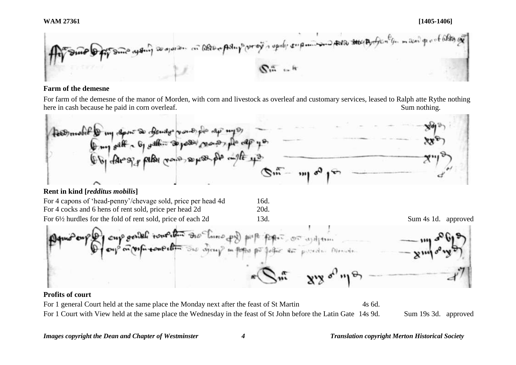**WAM 27361 [1405-1406]**



# **Farm of the demesne**

For farm of the demesne of the manor of Morden, with corn and livestock as overleaf and customary services, leased to Ralph atte Rythe nothing here in cash because he paid in corn overleaf. Sum nothing.



# **Rent in kind [***redditus mobilis***]**

| For 4 capons of 'head-penny'/chevage sold, price per head 4d | 16d. |                     |  |
|--------------------------------------------------------------|------|---------------------|--|
| For 4 cocks and 6 hens of rent sold, price per head 2d       | 20d. |                     |  |
| For 6½ hurdles for the fold of rent sold, price of each 2d   | 13d. | Sum 4s 1d. approved |  |

the pollogic air posed in Memoir

# **Profits of court**

For 1 general Court held at the same place the Monday next after the feast of St Martin 4s 6d. For 1 Court with View held at the same place the Wednesday in the feast of St John before the Latin Gate 14s 9d. Sum 19s 3d. approved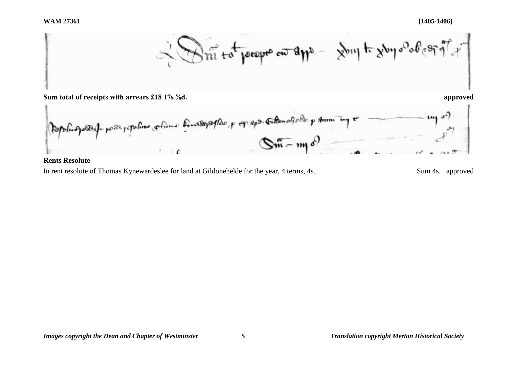



## **Rents Resolute**

In rent resolute of Thomas Kynewardeslee for land at Gildonehelde for the year, 4 terms, 4s. Sum 4s. approved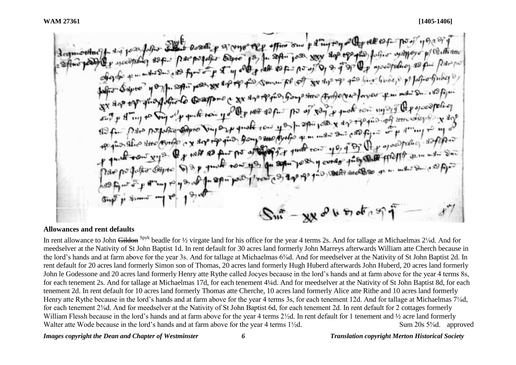or lots and coasting of myso the office one parting to you the 10 for as Appayer py Co. the atter 18ft. Parpogato barro 13/4. Soft. 1050. 888 200 +90 pis folio as the end of the lags of the set of the same of the design of the form by the was you are the for smow for off you dip my good a xx 800 to give Gongo stare Artho (vas for your of mind D. 18 figure sign of group of our company of the most soft of the or of son of most row sugar of the swoon policy per popular adpression part quality of the paper post of day off is for second the port of months pais from our cycles of mines you of By the operation as files po que alico suo conto c x ser the tow its du solution to so it could the company with the same way out As give seeks the cost of the metal one of the  $1'$ ren  $(9, 10)$  $-xyz^0b^{\frac{1}{2}}$ 

#### **Allowances and rent defaults**

In rent allowance to John Gildon Spyk beadle for 1/2 virgate land for his office for the year 4 terms 2s. And for tallage at Michaelmas 2<sup>1</sup>/<sub>8</sub>d. And for meedselver at the Nativity of St John Baptist 1d. In rent default for 30 acres land formerly John Marreys afterwards William atte Cherch because in the lord's hands and at farm above for the year 3s. And for tallage at Michaelmas 6⅜d. And for meedselver at the Nativity of St John Baptist 2d. In rent default for 20 acres land formerly Simon son of Thomas, 20 acres land formerly Hugh Huberd afterwards John Huberd, 20 acres land formerly John le Godessone and 20 acres land formerly Henry atte Rythe called Jocyes because in the lord's hands and at farm above for the year 4 terms 8s, for each tenement 2s. And for tallage at Michaelmas 17d, for each tenement 4¼d. And for meedselver at the Nativity of St John Baptist 8d, for each tenement 2d. In rent default for 10 acres land formerly Thomas atte Cherche, 10 acres land formerly Alice atte Rithe and 10 acres land formerly Henry atte Rythe because in the lord's hands and at farm above for the year 4 terms 3s, for each tenement 12d. And for tallage at Michaelmas 7⅛d, for each tenement 2⅜d. And for meedselver at the Nativity of St John Baptist 6d, for each tenement 2d. In rent default for 2 cottages formerly William Flessh because in the lord's hands and at farm above for the year 4 terms  $2\frac{1}{2}d$ . In rent default for 1 tenement and  $\frac{1}{2}$  acre land formerly Walter atte Wode because in the lord's hands and at farm above for the year 4 terms 1½d. Sum 20s 5‰d. approved

#### *Images copyright the Dean and Chapter of Westminster 6 Translation copyright Merton Historical Society*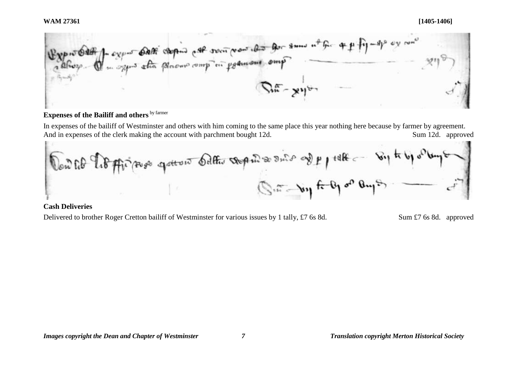

# **Expenses of the Bailiff and others** by farmer

In expenses of the bailiff of Westminster and others with him coming to the same place this year nothing here because by farmer by agreement. And in expenses of the clerk making the account with parchment bought 12d. Sum 12d. approved



# **Cash Deliveries**

Delivered to brother Roger Cretton bailiff of Westminster for various issues by 1 tally, £7 6s 8d. Sum £7 6s 8d. approved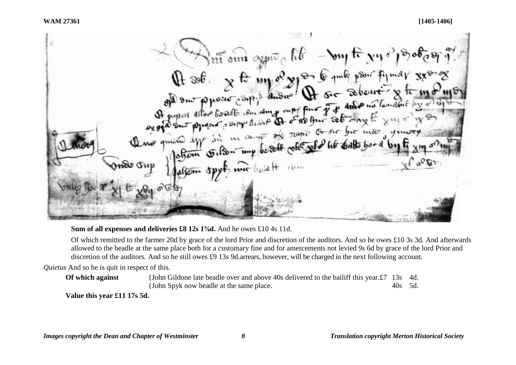$\lim_{\delta\to 0} \lim_{\delta\to 0} \exp\left(-\frac{1}{2}(\delta^2 - \delta\delta) \right)$ The sole of the my of you of the sole point of the state of the state of the state of the state of the state of the state of the state of the state of the state of the state of the state of the state of the state of the st

# **Sum of all expenses and deliveries £8 12s 1<sup>5</sup>/<sub>8</sub>d. And he owes £10 4s 11d.**

Of which remitted to the farmer 20d by grace of the lord Prior and discretion of the auditors. And so he owes £10 3s 3d. And afterwards allowed to the beadle at the same place both for a customary fine and for amercements not levied 9s 6d by grace of the lord Prior and discretion of the auditors. And so he still owes £9 13s 9d.arrears, however, will be charged in the next following account.

*Quietus* And so he is quit in respect of this.

**Of which against** {John Gildone late beadle over and above 40s delivered to the bailiff this year.£7 13s 4d. {John Spyk now beadle at the same place. 40s 5d.

**Value this year £11 17s 5d.**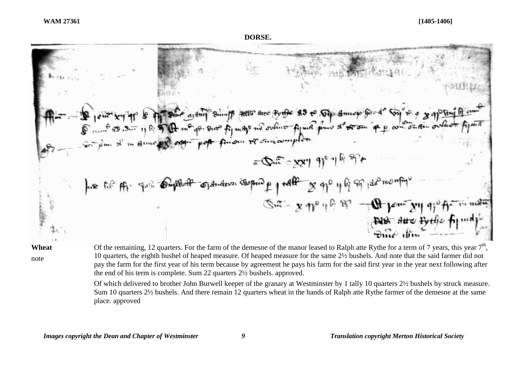### **DORSE.**



**Wheat**

note

Of the remaining, 12 quarters. For the farm of the demesne of the manor leased to Ralph atte Rythe for a term of 7 years, this year  $7<sup>th</sup>$ , 10 quarters, the eighth bushel of heaped measure. Of heaped measure for the same 2½ bushels. And note that the said farmer did not pay the farm for the first year of his term because by agreement he pays his farm for the said first year in the year next following after the end of his term is complete. Sum 22 quarters 2½ bushels. approved.

Of which delivered to brother John Burwell keeper of the granary at Westminster by 1 tally 10 quarters 2½ bushels by struck measure. Sum 10 quarters 2½ bushels. And there remain 12 quarters wheat in the hands of Ralph atte Rythe farmer of the demesne at the same place. approved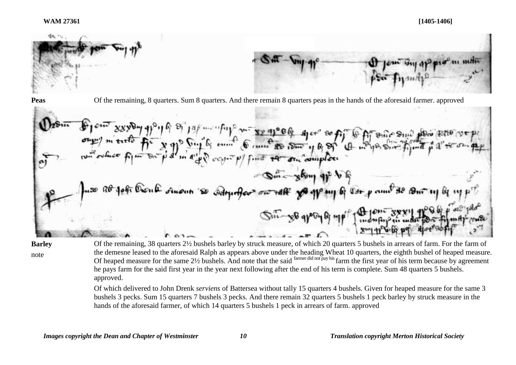

 $\frac{16}{3}$  or  $\frac{12}{3}$  m of the second space of the state of the state of the state of the state of the state of the state of the state of the state of the state of the state of the state of the state of the state of th  $168$ Din-gloup of be so R& John Diou & Ausun 'so Adrumator raff yo group of lar pou  $8 - 88 - 96 - 67$ 

**Barley** note

Of the remaining, 38 quarters 2½ bushels barley by struck measure, of which 20 quarters 5 bushels in arrears of farm. For the farm of the demesne leased to the aforesaid Ralph as appears above under the heading Wheat 10 quarters, the eighth bushel of heaped measure. Of heaped measure for the same 2½ bushels. And note that the said farmer did not pay his farm the first year of his term because by agreement he pays farm for the said first year in the year next following after the end of his term is complete. Sum 48 quarters 5 bushels. approved.

Of which delivered to John Drenk *serviens* of Battersea without tally 15 quarters 4 bushels. Given for heaped measure for the same 3 bushels 3 pecks. Sum 15 quarters 7 bushels 3 pecks. And there remain 32 quarters 5 bushels 1 peck barley by struck measure in the hands of the aforesaid farmer, of which 14 quarters 5 bushels 1 peck in arrears of farm. approved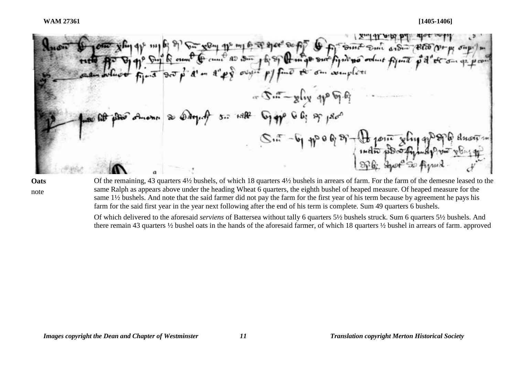$\nabla^{(1)}$  and  $\nabla^{(2)}$  and  $\nabla^{(3)}$ Fil South Some article to cure as our for of the most sure find no on  $\sigma v$  $-5.5 - y \log 99$  $5.7 + 9.82$  $-6.40968$ 

**Oats** note

Of the remaining, 43 quarters 4½ bushels, of which 18 quarters 4½ bushels in arrears of farm. For the farm of the demesne leased to the same Ralph as appears above under the heading Wheat 6 quarters, the eighth bushel of heaped measure. Of heaped measure for the same 1½ bushels. And note that the said farmer did not pay the farm for the first year of his term because by agreement he pays his farm for the said first year in the year next following after the end of his term is complete. Sum 49 quarters 6 bushels.

Of which delivered to the aforesaid *serviens* of Battersea without tally 6 quarters 5½ bushels struck. Sum 6 quarters 5½ bushels. And there remain 43 quarters ½ bushel oats in the hands of the aforesaid farmer, of which 18 quarters ½ bushel in arrears of farm. approved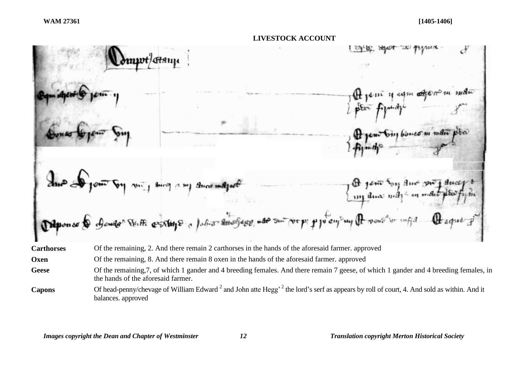

**Oxen** Of the remaining, 8. And there remain 8 oxen in the hands of the aforesaid farmer. approved

Geese Of the remaining, 7, of which 1 gander and 4 breeding females. And there remain 7 geese, of which 1 gander and 4 breeding females, in the hands of the aforesaid farmer.

Capons Of head-penny/chevage of William Edward<sup>2</sup> and John atte Hegg<sup>, 2</sup> the lord's serf as appears by roll of court, 4. And sold as within. And it balances. approved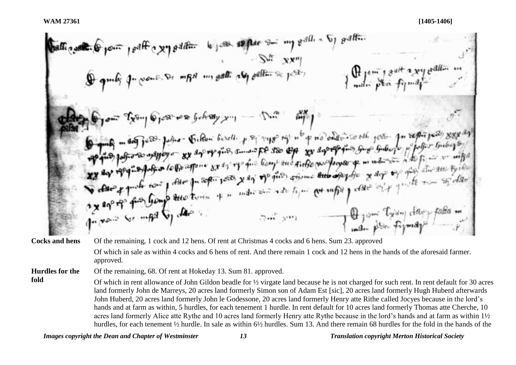3.11. 
$$
\frac{1}{2}
$$

\n4. 
$$
\frac{1}{2}
$$

\n5. 
$$
\frac{1}{2}
$$

\n6. 
$$
\frac{1}{2}
$$

\n7. 
$$
\frac{1}{2}
$$

\n8. 
$$
\frac{1}{2}
$$

\n9. 
$$
\frac{1}{2}
$$

\n1. 
$$
\frac{1}{2}
$$

\n1. 
$$
\frac{1}{2}
$$

\n1. 
$$
\frac{1}{2}
$$

\n1. 
$$
\frac{1}{2}
$$

\n1. 
$$
\frac{1}{2}
$$

\n1. 
$$
\frac{1}{2}
$$

\n1. 
$$
\frac{1}{2}
$$

\n1. 
$$
\frac{1}{2}
$$

\n1. 
$$
\frac{1}{2}
$$

\n1. 
$$
\frac{1}{2}
$$

\n1. 
$$
\frac{1}{2}
$$

\n1. 
$$
\frac{1}{2}
$$

\n1. 
$$
\frac{1}{2}
$$

\n1. 
$$
\frac{1}{2}
$$

\n1. 
$$
\frac{1}{2}
$$

\n1. 
$$
\frac{1}{2}
$$

\n1. 
$$
\frac{1}{2}
$$

\n1. 
$$
\frac{1}{2}
$$

\n1. 
$$
\frac{1}{2}
$$

\n1. 
$$
\frac{1}{2}
$$

\n1. 
$$
\frac{1}{2}
$$

\n1. 
$$
\frac{1}{2}
$$

\n1. 
$$
\frac{1}{2}
$$

\n1. 
$$
\frac{1}{2}
$$

\n1. 
$$
\frac{1}{2}
$$

\n1. 
$$
\frac{1}{2}
$$

\n1. 
$$
\frac{1}{2}
$$

\n1. 
$$
\frac{1}{2}
$$

\n2. 
$$
\frac{1}{2}
$$

\n3. 

**Cocks and hens** Of the remaining, 1 cock and 12 hens. Of rent at Christmas 4 cocks and 6 hens. Sum 23. approved Of which in sale as within 4 cocks and 6 hens of rent. And there remain 1 cock and 12 hens in the hands of the aforesaid farmer. approved.

**Hurdles for the**  Of the remaining, 68. Of rent at Hokeday 13. Sum 81. approved.

**fold** Of which in rent allowance of John Gildon beadle for ½ virgate land because he is not charged for such rent. In rent default for 30 acres land formerly John de Marreys, 20 acres land formerly Simon son of Adam Est [sic], 20 acres land formerly Hugh Huberd afterwards John Huberd, 20 acres land formerly John le Godessone, 20 acres land formerly Henry atte Rithe called Jocyes because in the lord's hands and at farm as within, 5 hurdles, for each tenement 1 hurdle. In rent default for 10 acres land formerly Thomas atte Cherche, 10 acres land formerly Alice atte Rythe and 10 acres land formerly Henry atte Rythe because in the lord's hands and at farm as within 1½ hurdles, for each tenement ½ hurdle. In sale as within 6½ hurdles. Sum 13. And there remain 68 hurdles for the fold in the hands of the

*Images copyright the Dean and Chapter of Westminster 13 Translation copyright Merton Historical Society*